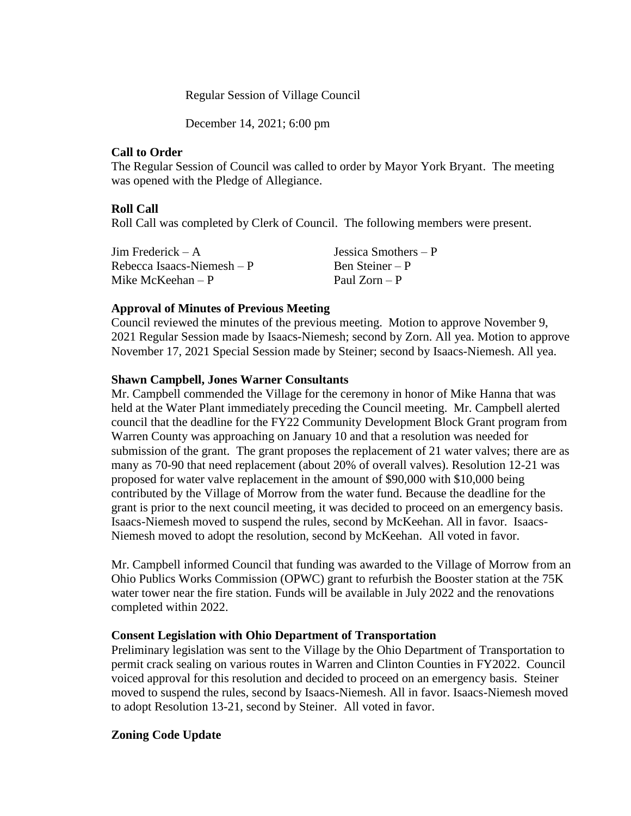#### Regular Session of Village Council

December 14, 2021; 6:00 pm

#### **Call to Order**

The Regular Session of Council was called to order by Mayor York Bryant. The meeting was opened with the Pledge of Allegiance.

## **Roll Call**

Roll Call was completed by Clerk of Council. The following members were present.

| Jim Frederick $- A$         | Jessica Smothers $-P$ |
|-----------------------------|-----------------------|
| Rebecca Isaacs-Niemesh $-P$ | Ben Steiner – P       |
| Mike McKeehan $-P$          | Paul $Zorn - P$       |

## **Approval of Minutes of Previous Meeting**

Council reviewed the minutes of the previous meeting. Motion to approve November 9, 2021 Regular Session made by Isaacs-Niemesh; second by Zorn. All yea. Motion to approve November 17, 2021 Special Session made by Steiner; second by Isaacs-Niemesh. All yea.

## **Shawn Campbell, Jones Warner Consultants**

Mr. Campbell commended the Village for the ceremony in honor of Mike Hanna that was held at the Water Plant immediately preceding the Council meeting. Mr. Campbell alerted council that the deadline for the FY22 Community Development Block Grant program from Warren County was approaching on January 10 and that a resolution was needed for submission of the grant. The grant proposes the replacement of 21 water valves; there are as many as 70-90 that need replacement (about 20% of overall valves). Resolution 12-21 was proposed for water valve replacement in the amount of \$90,000 with \$10,000 being contributed by the Village of Morrow from the water fund. Because the deadline for the grant is prior to the next council meeting, it was decided to proceed on an emergency basis. Isaacs-Niemesh moved to suspend the rules, second by McKeehan. All in favor. Isaacs-Niemesh moved to adopt the resolution, second by McKeehan. All voted in favor.

Mr. Campbell informed Council that funding was awarded to the Village of Morrow from an Ohio Publics Works Commission (OPWC) grant to refurbish the Booster station at the 75K water tower near the fire station. Funds will be available in July 2022 and the renovations completed within 2022.

## **Consent Legislation with Ohio Department of Transportation**

Preliminary legislation was sent to the Village by the Ohio Department of Transportation to permit crack sealing on various routes in Warren and Clinton Counties in FY2022. Council voiced approval for this resolution and decided to proceed on an emergency basis. Steiner moved to suspend the rules, second by Isaacs-Niemesh. All in favor. Isaacs-Niemesh moved to adopt Resolution 13-21, second by Steiner. All voted in favor.

## **Zoning Code Update**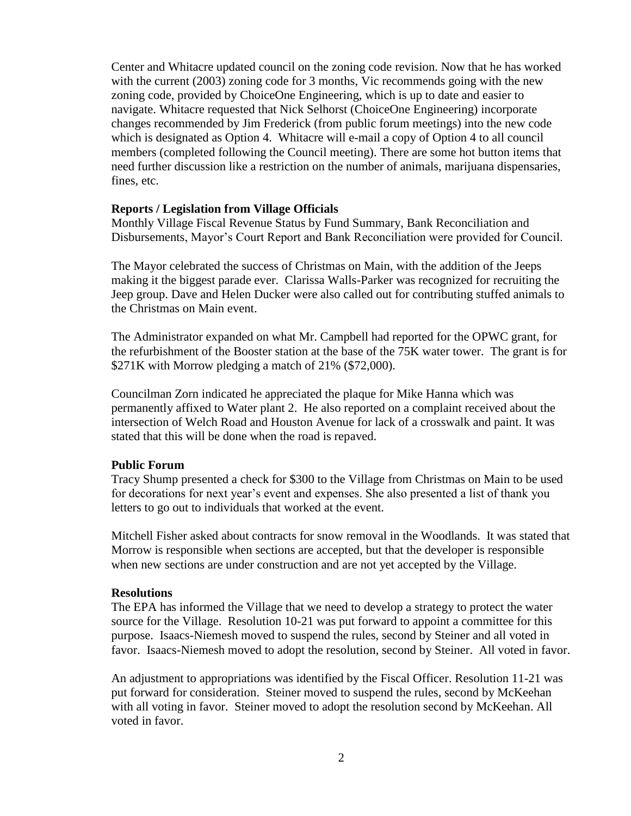Center and Whitacre updated council on the zoning code revision. Now that he has worked with the current (2003) zoning code for 3 months, Vic recommends going with the new zoning code, provided by ChoiceOne Engineering, which is up to date and easier to navigate. Whitacre requested that Nick Selhorst (ChoiceOne Engineering) incorporate changes recommended by Jim Frederick (from public forum meetings) into the new code which is designated as Option 4. Whitacre will e-mail a copy of Option 4 to all council members (completed following the Council meeting). There are some hot button items that need further discussion like a restriction on the number of animals, marijuana dispensaries, fines, etc.

#### **Reports / Legislation from Village Officials**

Monthly Village Fiscal Revenue Status by Fund Summary, Bank Reconciliation and Disbursements, Mayor's Court Report and Bank Reconciliation were provided for Council.

The Mayor celebrated the success of Christmas on Main, with the addition of the Jeeps making it the biggest parade ever. Clarissa Walls-Parker was recognized for recruiting the Jeep group. Dave and Helen Ducker were also called out for contributing stuffed animals to the Christmas on Main event.

The Administrator expanded on what Mr. Campbell had reported for the OPWC grant, for the refurbishment of the Booster station at the base of the 75K water tower. The grant is for \$271K with Morrow pledging a match of 21% (\$72,000).

Councilman Zorn indicated he appreciated the plaque for Mike Hanna which was permanently affixed to Water plant 2. He also reported on a complaint received about the intersection of Welch Road and Houston Avenue for lack of a crosswalk and paint. It was stated that this will be done when the road is repaved.

#### **Public Forum**

Tracy Shump presented a check for \$300 to the Village from Christmas on Main to be used for decorations for next year's event and expenses. She also presented a list of thank you letters to go out to individuals that worked at the event.

Mitchell Fisher asked about contracts for snow removal in the Woodlands. It was stated that Morrow is responsible when sections are accepted, but that the developer is responsible when new sections are under construction and are not yet accepted by the Village.

#### **Resolutions**

The EPA has informed the Village that we need to develop a strategy to protect the water source for the Village. Resolution 10-21 was put forward to appoint a committee for this purpose. Isaacs-Niemesh moved to suspend the rules, second by Steiner and all voted in favor. Isaacs-Niemesh moved to adopt the resolution, second by Steiner. All voted in favor.

An adjustment to appropriations was identified by the Fiscal Officer. Resolution 11-21 was put forward for consideration. Steiner moved to suspend the rules, second by McKeehan with all voting in favor. Steiner moved to adopt the resolution second by McKeehan. All voted in favor.